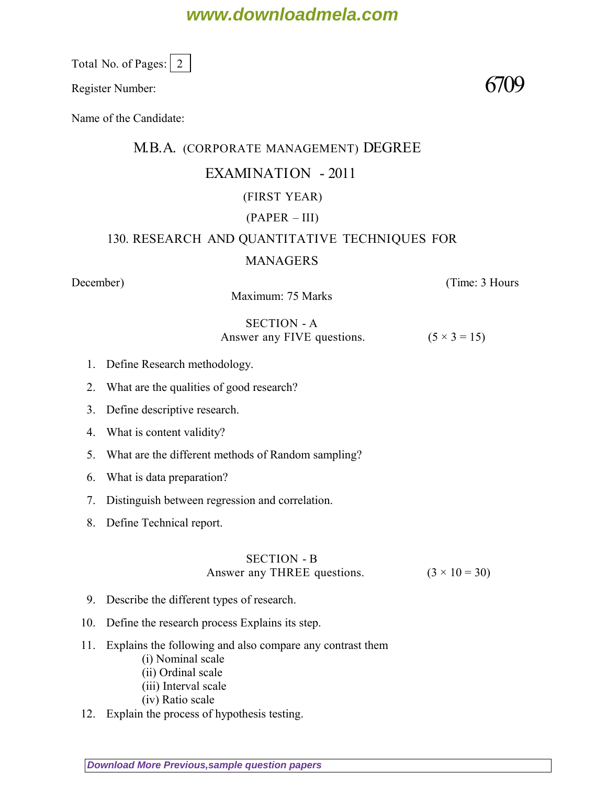## **www.downloadmela.com**

Total No. of Pages:  $\vert 2 \vert$ 

Register Number:  $6709$ 

Name of the Candidate:

# M.B.A. (CORPORATE MANAGEMENT) DEGREE EXAMINATION - 2011 (FIRST YEAR)

#### (PAPER – III)

### 130. RESEARCH AND QUANTITATIVE TECHNIQUES FOR

#### MANAGERS

*December*) (*Time: 3 Hours*

Maximum: 75 Marks

#### SECTION - A Answer any FIVE questions.  $(5 \times 3 = 15)$

- 1. Define Research methodology.
- 2. What are the qualities of good research?
- 3. Define descriptive research.
- 4. What is content validity?
- 5. What are the different methods of Random sampling?
- 6. What is data preparation?
- 7. Distinguish between regression and correlation.
- 8. Define Technical report.

#### SECTION - B Answer any THREE questions.  $(3 \times 10 = 30)$

- 9. Describe the different types of research.
- 10. Define the research process Explains its step.
- 11. Explains the following and also compare any contrast them
	- (i) Nominal scale
	- (ii) Ordinal scale
	- (iii) Interval scale
	- (iv) Ratio scale
- 12. Explain the process of hypothesis testing.

**[Download More Previous,sample question papers](http://downloadmela.com/pages/previouspapers/previouspapers.html)**